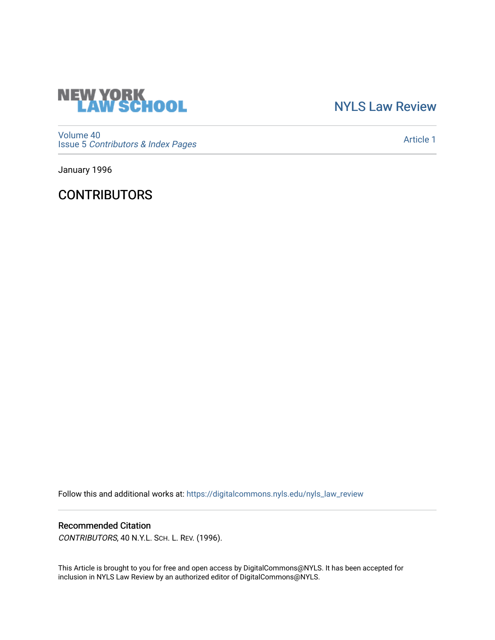

## [NYLS Law Review](https://digitalcommons.nyls.edu/nyls_law_review)

[Volume 40](https://digitalcommons.nyls.edu/nyls_law_review/vol40) Issue 5 [Contributors & Index Pages](https://digitalcommons.nyls.edu/nyls_law_review/vol40/iss5) 

[Article 1](https://digitalcommons.nyls.edu/nyls_law_review/vol40/iss5/1) 

January 1996

**CONTRIBUTORS** 

Follow this and additional works at: [https://digitalcommons.nyls.edu/nyls\\_law\\_review](https://digitalcommons.nyls.edu/nyls_law_review?utm_source=digitalcommons.nyls.edu%2Fnyls_law_review%2Fvol40%2Fiss5%2F1&utm_medium=PDF&utm_campaign=PDFCoverPages) 

## Recommended Citation

CONTRIBUTORS, 40 N.Y.L. SCH. L. REV. (1996).

This Article is brought to you for free and open access by DigitalCommons@NYLS. It has been accepted for inclusion in NYLS Law Review by an authorized editor of DigitalCommons@NYLS.